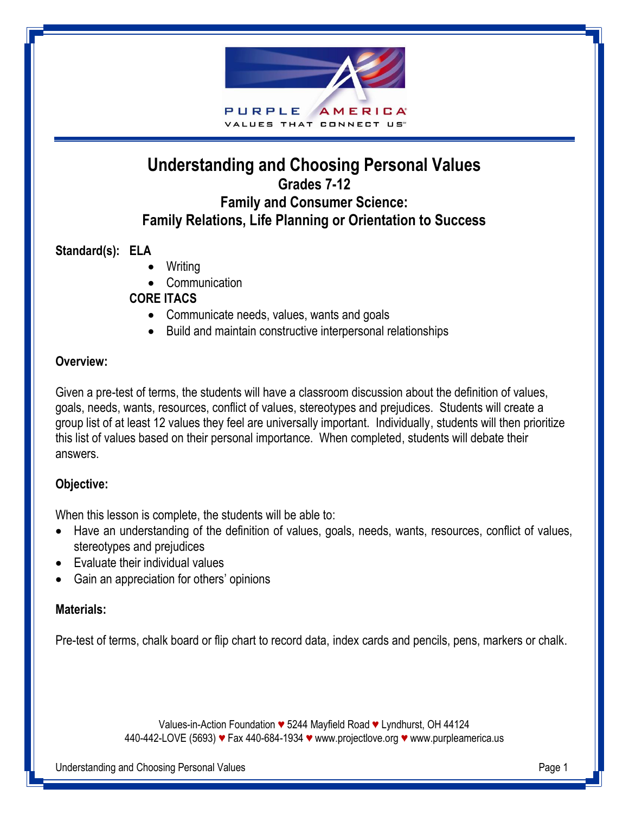

# **Understanding and Choosing Personal Values Grades 7-12 Family and Consumer Science: Family Relations, Life Planning or Orientation to Success**

### **Standard(s): ELA**

- Writing
- Communication

#### **CORE ITACS**

- Communicate needs, values, wants and goals
- Build and maintain constructive interpersonal relationships

#### **Overview:**

Given a pre-test of terms, the students will have a classroom discussion about the definition of values, goals, needs, wants, resources, conflict of values, stereotypes and prejudices. Students will create a group list of at least 12 values they feel are universally important. Individually, students will then prioritize this list of values based on their personal importance. When completed, students will debate their answers.

### **Objective:**

When this lesson is complete, the students will be able to:

- Have an understanding of the definition of values, goals, needs, wants, resources, conflict of values, stereotypes and prejudices
- Evaluate their individual values
- Gain an appreciation for others' opinions

### **Materials:**

Pre-test of terms, chalk board or flip chart to record data, index cards and pencils, pens, markers or chalk.

Values-in-Action Foundation *♥* 5244 Mayfield Road *♥* Lyndhurst, OH 44124 440-442-LOVE (5693) *♥* Fax 440-684-1934 *♥* [www.projectlove.org](http://www.projectlove.org/) *♥* www.purpleamerica.us

Understanding and Choosing Personal Values **Page 1** and the state of the state of the state Page 1